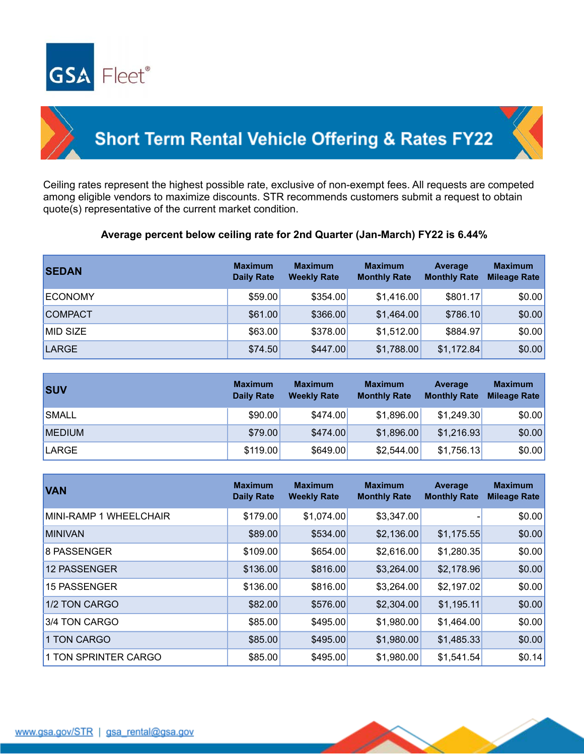



## **Short Term Rental Vehicle Offering & Rates FY22**

Ceiling rates represent the highest possible rate, exclusive of non-exempt fees. All requests are competed among eligible vendors to maximize discounts. STR recommends customers submit a request to obtain quote(s) representative of the current market condition.

## **Average percent below ceiling rate for 2nd Quarter (Jan-March) FY22 is 6.44%**

| <b>SEDAN</b>   | <b>Maximum</b><br><b>Daily Rate</b> | <b>Maximum</b><br><b>Weekly Rate</b> | <b>Maximum</b><br><b>Monthly Rate</b> | Average<br><b>Monthly Rate</b> | <b>Maximum</b><br><b>Mileage Rate</b> |
|----------------|-------------------------------------|--------------------------------------|---------------------------------------|--------------------------------|---------------------------------------|
| <b>ECONOMY</b> | \$59.00                             | \$354.00                             | \$1,416.00                            | \$801.17                       | \$0.00                                |
| <b>COMPACT</b> | \$61.00                             | \$366.00                             | \$1,464.00                            | \$786.10                       | \$0.00                                |
| MID SIZE       | \$63.00                             | \$378.00                             | \$1,512.00                            | \$884.97                       | \$0.00                                |
| LARGE          | \$74.50                             | \$447.00                             | \$1,788.00                            | \$1,172.84                     | \$0.00                                |

| <b>SUV</b>    | <b>Maximum</b><br><b>Daily Rate</b> | <b>Maximum</b><br><b>Weekly Rate</b> | <b>Maximum</b><br><b>Monthly Rate</b> | Average<br><b>Monthly Rate</b> | <b>Maximum</b><br><b>Mileage Rate</b> |
|---------------|-------------------------------------|--------------------------------------|---------------------------------------|--------------------------------|---------------------------------------|
| <b>SMALL</b>  | \$90.00                             | \$474.00                             | \$1,896.00                            | \$1,249.30                     | \$0.00                                |
| <b>MEDIUM</b> | \$79.00                             | \$474.00                             | \$1,896.00                            | \$1,216.93                     | \$0.00                                |
| LARGE         | \$119.00                            | \$649.00                             | \$2,544.00                            | \$1,756.13                     | \$0.00                                |

| <b>VAN</b>             | <b>Maximum</b><br><b>Daily Rate</b> | <b>Maximum</b><br><b>Weekly Rate</b> | <b>Maximum</b><br><b>Monthly Rate</b> | Average<br><b>Monthly Rate</b> | <b>Maximum</b><br><b>Mileage Rate</b> |
|------------------------|-------------------------------------|--------------------------------------|---------------------------------------|--------------------------------|---------------------------------------|
| MINI-RAMP 1 WHEELCHAIR | \$179.00                            | \$1,074.00                           | \$3,347.00                            |                                | \$0.00                                |
| <b>MINIVAN</b>         | \$89.00                             | \$534.00                             | \$2,136.00                            | \$1,175.55                     | \$0.00                                |
| <b>8 PASSENGER</b>     | \$109.00                            | \$654.00                             | \$2,616.00                            | \$1,280.35                     | \$0.00                                |
| <b>12 PASSENGER</b>    | \$136.00                            | \$816.00                             | \$3,264.00                            | \$2,178.96                     | \$0.00                                |
| 15 PASSENGER           | \$136.00                            | \$816.00                             | \$3,264.00                            | \$2,197.02                     | \$0.00                                |
| 1/2 TON CARGO          | \$82.00                             | \$576.00                             | \$2,304.00                            | \$1,195.11                     | \$0.00                                |
| 3/4 TON CARGO          | \$85.00                             | \$495.00                             | \$1,980.00                            | \$1,464.00                     | \$0.00                                |
| 1 TON CARGO            | \$85.00                             | \$495.00                             | \$1,980.00                            | \$1,485.33                     | \$0.00                                |
| 1 TON SPRINTER CARGO   | \$85.00                             | \$495.00                             | \$1,980.00                            | \$1,541.54                     | \$0.14]                               |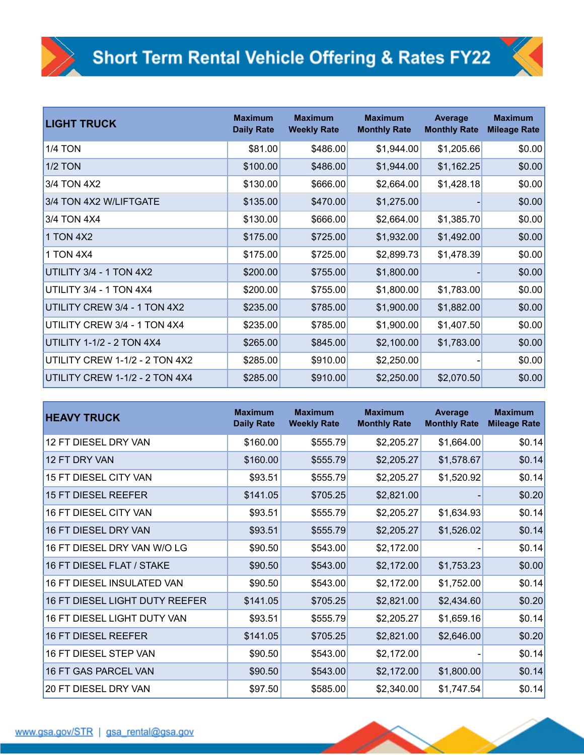| <b>LIGHT TRUCK</b>               | <b>Maximum</b><br><b>Daily Rate</b> | <b>Maximum</b><br><b>Weekly Rate</b> | <b>Maximum</b><br><b>Monthly Rate</b> | Average<br><b>Monthly Rate</b> | <b>Maximum</b><br><b>Mileage Rate</b> |
|----------------------------------|-------------------------------------|--------------------------------------|---------------------------------------|--------------------------------|---------------------------------------|
| <b>1/4 TON</b>                   | \$81.00                             | \$486.00                             | \$1,944.00                            | \$1,205.66                     | \$0.00                                |
| <b>1/2 TON</b>                   | \$100.00                            | \$486.00                             | \$1,944.00                            | \$1,162.25                     | \$0.00                                |
| 3/4 TON 4X2                      | \$130.00                            | \$666.00                             | \$2,664.00                            | \$1,428.18                     | \$0.00                                |
| 3/4 TON 4X2 W/LIFTGATE           | \$135.00                            | \$470.00                             | \$1,275.00                            |                                | \$0.00                                |
| 3/4 TON 4X4                      | \$130.00                            | \$666.00                             | \$2,664.00                            | \$1,385.70                     | \$0.00                                |
| 1 TON 4X2                        | \$175.00                            | \$725.00                             | \$1,932.00                            | \$1,492.00                     | \$0.00                                |
| 1 TON 4X4                        | \$175.00                            | \$725.00                             | \$2,899.73                            | \$1,478.39                     | \$0.00                                |
| UTILITY 3/4 - 1 TON 4X2          | \$200.00                            | \$755.00                             | \$1,800.00                            |                                | \$0.00                                |
| UTILITY 3/4 - 1 TON 4X4          | \$200.00                            | \$755.00                             | \$1,800.00                            | \$1,783.00                     | \$0.00                                |
| UTILITY CREW 3/4 - 1 TON 4X2     | \$235.00                            | \$785.00                             | \$1,900.00                            | \$1,882.00                     | \$0.00                                |
| UTILITY CREW 3/4 - 1 TON 4X4     | \$235.00                            | \$785.00                             | \$1,900.00                            | \$1,407.50                     | \$0.00                                |
| <b>UTILITY 1-1/2 - 2 TON 4X4</b> | \$265.00                            | \$845.00                             | \$2,100.00                            | \$1,783.00                     | \$0.00                                |
| UTILITY CREW 1-1/2 - 2 TON 4X2   | \$285.00                            | \$910.00                             | \$2,250.00                            |                                | \$0.00                                |
| UTILITY CREW 1-1/2 - 2 TON 4X4   | \$285.00                            | \$910.00                             | \$2,250.00                            | \$2,070.50                     | \$0.00                                |

| <b>HEAVY TRUCK</b>                    | <b>Maximum</b><br><b>Daily Rate</b> | <b>Maximum</b><br><b>Weekly Rate</b> | <b>Maximum</b><br><b>Monthly Rate</b> | Average<br><b>Monthly Rate</b> | <b>Maximum</b><br><b>Mileage Rate</b> |
|---------------------------------------|-------------------------------------|--------------------------------------|---------------------------------------|--------------------------------|---------------------------------------|
| 12 FT DIESEL DRY VAN                  | \$160.00                            | \$555.79                             | \$2,205.27                            | \$1,664.00                     | \$0.14]                               |
| 12 FT DRY VAN                         | \$160.00                            | \$555.79                             | \$2,205.27                            | \$1,578.67                     | \$0.14]                               |
| 15 FT DIESEL CITY VAN                 | \$93.51                             | \$555.79                             | \$2,205.27                            | \$1,520.92                     | \$0.14                                |
| <b>15 FT DIESEL REEFER</b>            | \$141.05                            | \$705.25                             | \$2,821.00                            |                                | \$0.20                                |
| <b>16 FT DIESEL CITY VAN</b>          | \$93.51                             | \$555.79                             | \$2,205.27                            | \$1,634.93                     | \$0.14]                               |
| 16 FT DIESEL DRY VAN                  | \$93.51                             | \$555.79                             | \$2,205.27                            | \$1,526.02                     | \$0.14                                |
| 16 FT DIESEL DRY VAN W/O LG           | \$90.50                             | \$543.00                             | \$2,172.00                            |                                | \$0.14                                |
| 16 FT DIESEL FLAT / STAKE             | \$90.50                             | \$543.00                             | \$2,172.00                            | \$1,753.23                     | \$0.00                                |
| 16 FT DIESEL INSULATED VAN            | \$90.50                             | \$543.00                             | \$2,172.00                            | \$1,752.00                     | \$0.14                                |
| <b>16 FT DIESEL LIGHT DUTY REEFER</b> | \$141.05                            | \$705.25                             | \$2,821.00                            | \$2,434.60                     | \$0.20                                |
| 16 FT DIESEL LIGHT DUTY VAN           | \$93.51                             | \$555.79                             | \$2,205.27                            | \$1,659.16                     | \$0.14                                |
| <b>16 FT DIESEL REEFER</b>            | \$141.05                            | \$705.25                             | \$2,821.00                            | \$2,646.00                     | \$0.20                                |
| 16 FT DIESEL STEP VAN                 | \$90.50                             | \$543.00                             | \$2,172.00                            |                                | \$0.14]                               |
| 16 FT GAS PARCEL VAN                  | \$90.50                             | \$543.00                             | \$2,172.00                            | \$1,800.00                     | \$0.14]                               |
| <b>20 FT DIESEL DRY VAN</b>           | \$97.50                             | \$585.00                             | \$2,340.00                            | \$1,747.54                     | \$0.14]                               |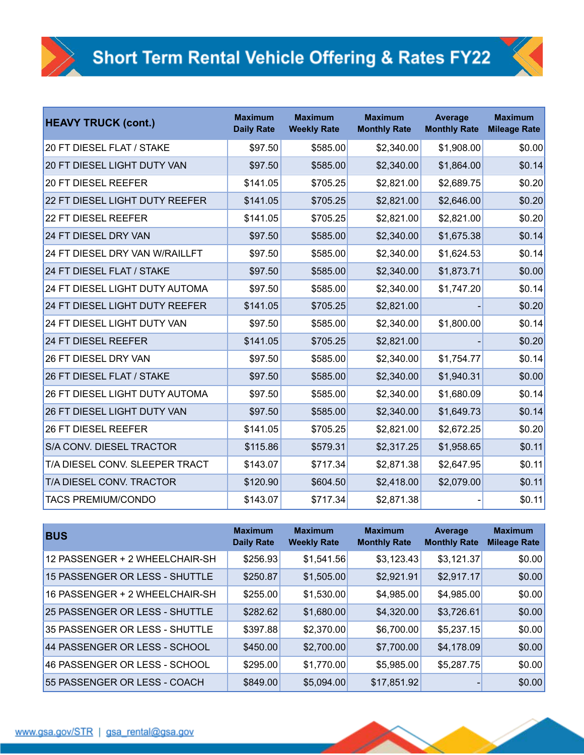| <b>HEAVY TRUCK (cont.)</b>            | <b>Maximum</b><br><b>Daily Rate</b> | <b>Maximum</b><br><b>Weekly Rate</b> | <b>Maximum</b><br><b>Monthly Rate</b> | <b>Average</b><br><b>Monthly Rate</b> | <b>Maximum</b><br><b>Mileage Rate</b> |
|---------------------------------------|-------------------------------------|--------------------------------------|---------------------------------------|---------------------------------------|---------------------------------------|
| <b>20 FT DIESEL FLAT / STAKE</b>      | \$97.50                             | \$585.00                             | \$2,340.00                            | \$1,908.00                            | \$0.00                                |
| <b>20 FT DIESEL LIGHT DUTY VAN</b>    | \$97.50                             | \$585.00                             | \$2,340.00                            | \$1,864.00                            | \$0.14                                |
| <b>20 FT DIESEL REEFER</b>            | \$141.05                            | \$705.25                             | \$2,821.00                            | \$2,689.75                            | \$0.20                                |
| 22 FT DIESEL LIGHT DUTY REEFER        | \$141.05                            | \$705.25                             | \$2,821.00                            | \$2,646.00                            | \$0.20                                |
| 22 FT DIESEL REEFER                   | \$141.05                            | \$705.25                             | \$2,821.00                            | \$2,821.00                            | \$0.20                                |
| 24 FT DIESEL DRY VAN                  | \$97.50                             | \$585.00                             | \$2,340.00                            | \$1,675.38                            | \$0.14                                |
| <b>24 FT DIESEL DRY VAN W/RAILLFT</b> | \$97.50                             | \$585.00                             | \$2,340.00                            | \$1,624.53                            | \$0.14                                |
| 24 FT DIESEL FLAT / STAKE             | \$97.50                             | \$585.00                             | \$2,340.00                            | \$1,873.71                            | \$0.00                                |
| <b>24 FT DIESEL LIGHT DUTY AUTOMA</b> | \$97.50                             | \$585.00                             | \$2,340.00                            | \$1,747.20                            | \$0.14                                |
| 24 FT DIESEL LIGHT DUTY REEFER        | \$141.05                            | \$705.25                             | \$2,821.00                            |                                       | \$0.20                                |
| 24 FT DIESEL LIGHT DUTY VAN           | \$97.50                             | \$585.00                             | \$2,340.00                            | \$1,800.00                            | \$0.14                                |
| 24 FT DIESEL REEFER                   | \$141.05                            | \$705.25                             | \$2,821.00                            |                                       | \$0.20                                |
| 26 FT DIESEL DRY VAN                  | \$97.50                             | \$585.00                             | \$2,340.00                            | \$1,754.77                            | \$0.14                                |
| 26 FT DIESEL FLAT / STAKE             | \$97.50                             | \$585.00                             | \$2,340.00                            | \$1,940.31                            | \$0.00                                |
| 26 FT DIESEL LIGHT DUTY AUTOMA        | \$97.50                             | \$585.00                             | \$2,340.00                            | \$1,680.09                            | \$0.14                                |
| <b>26 FT DIESEL LIGHT DUTY VAN</b>    | \$97.50                             | \$585.00                             | \$2,340.00                            | \$1,649.73                            | \$0.14                                |
| 26 FT DIESEL REEFER                   | \$141.05                            | \$705.25                             | \$2,821.00                            | \$2,672.25                            | \$0.20                                |
| S/A CONV. DIESEL TRACTOR              | \$115.86                            | \$579.31                             | \$2,317.25                            | \$1,958.65                            | \$0.11                                |
| T/A DIESEL CONV. SLEEPER TRACT        | \$143.07                            | \$717.34                             | \$2,871.38                            | \$2,647.95                            | \$0.11                                |
| T/A DIESEL CONV. TRACTOR              | \$120.90                            | \$604.50                             | \$2,418.00                            | \$2,079.00                            | \$0.11                                |
| <b>TACS PREMIUM/CONDO</b>             | \$143.07                            | \$717.34                             | \$2,871.38                            |                                       | \$0.11                                |

| <b>BUS</b>                     | <b>Maximum</b><br><b>Daily Rate</b> | <b>Maximum</b><br><b>Weekly Rate</b> | <b>Maximum</b><br><b>Monthly Rate</b> | <b>Average</b><br><b>Monthly Rate</b> | <b>Maximum</b><br><b>Mileage Rate</b> |
|--------------------------------|-------------------------------------|--------------------------------------|---------------------------------------|---------------------------------------|---------------------------------------|
| 12 PASSENGER + 2 WHEELCHAIR-SH | \$256.93                            | \$1,541.56                           | \$3,123.43                            | \$3,121.37                            | \$0.00                                |
| 15 PASSENGER OR LESS - SHUTTLE | \$250.87                            | \$1,505.00                           | \$2,921.91                            | \$2,917.17                            | \$0.00                                |
| 16 PASSENGER + 2 WHEELCHAIR-SH | \$255.00                            | \$1,530.00                           | \$4,985.00                            | \$4,985.00                            | \$0.00                                |
| 25 PASSENGER OR LESS - SHUTTLE | \$282.62                            | \$1,680.00                           | \$4,320.00                            | \$3,726.61                            | \$0.00                                |
| 35 PASSENGER OR LESS - SHUTTLE | \$397.88                            | \$2,370.00                           | \$6,700.00                            | \$5,237.15                            | \$0.00                                |
| 44 PASSENGER OR LESS - SCHOOL  | \$450.00                            | \$2,700.00                           | \$7,700.00                            | \$4,178.09                            | \$0.00                                |
| 46 PASSENGER OR LESS - SCHOOL  | \$295.00                            | \$1,770.00                           | \$5,985.00                            | \$5,287.75                            | \$0.00                                |
| 55 PASSENGER OR LESS - COACH   | \$849.00                            | \$5,094.00                           | \$17,851.92                           |                                       | \$0.00                                |